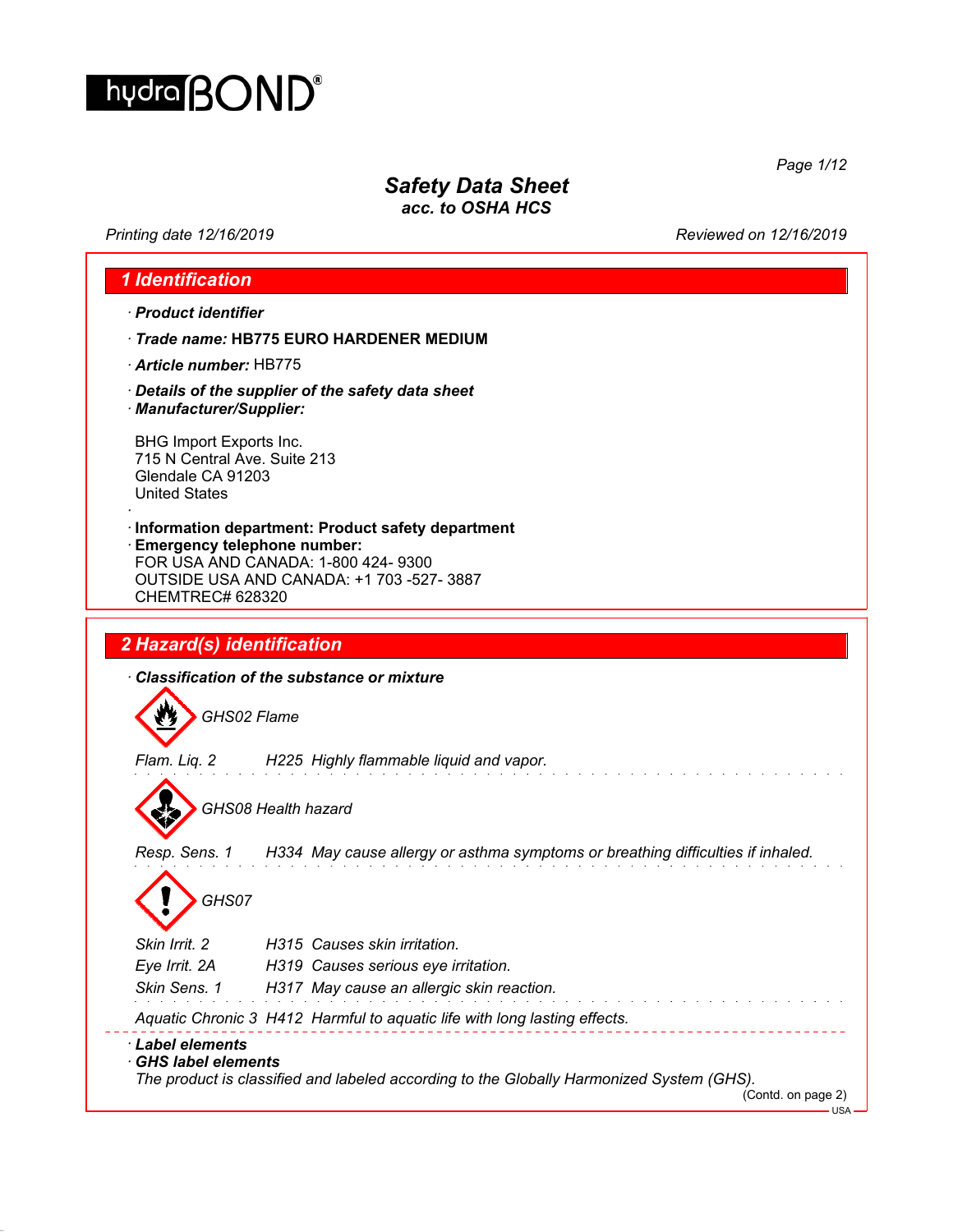

# *Safety Data Sheet*

*acc. to OSHA HCS*

*Printing date 12/16/2019 Reviewed on 12/16/2019*

*Page 1/12*

|                                                                                                      | · Product identifier                                                                                                                                                      |
|------------------------------------------------------------------------------------------------------|---------------------------------------------------------------------------------------------------------------------------------------------------------------------------|
|                                                                                                      | Trade name: HB775 EURO HARDENER MEDIUM                                                                                                                                    |
| Article number: HB775                                                                                |                                                                                                                                                                           |
| · Manufacturer/Supplier:                                                                             | Details of the supplier of the safety data sheet                                                                                                                          |
| BHG Import Exports Inc.<br>715 N Central Ave. Suite 213<br>Glendale CA 91203<br><b>United States</b> |                                                                                                                                                                           |
| <b>CHEMTREC# 628320</b>                                                                              | Information department: Product safety department<br><b>Emergency telephone number:</b><br>FOR USA AND CANADA: 1-800 424-9300<br>OUTSIDE USA AND CANADA: +1 703 -527-3887 |
|                                                                                                      |                                                                                                                                                                           |
|                                                                                                      |                                                                                                                                                                           |
| 2 Hazard(s) identification                                                                           |                                                                                                                                                                           |
|                                                                                                      | Classification of the substance or mixture                                                                                                                                |
|                                                                                                      | GHS02 Flame                                                                                                                                                               |
|                                                                                                      | Flam. Liq. 2 H225 Highly flammable liquid and vapor.                                                                                                                      |
|                                                                                                      | GHS08 Health hazard                                                                                                                                                       |
|                                                                                                      | Resp. Sens. 1 H334 May cause allergy or asthma symptoms or breathing difficulties if inhaled.                                                                             |
| GHS07                                                                                                |                                                                                                                                                                           |
| Skin Irrit. 2                                                                                        | H315 Causes skin irritation.                                                                                                                                              |
| Eye Irrit. 2A                                                                                        | H319 Causes serious eye irritation.                                                                                                                                       |
| Skin Sens. 1                                                                                         | H317 May cause an allergic skin reaction.                                                                                                                                 |
|                                                                                                      | Aquatic Chronic 3 H412 Harmful to aquatic life with long lasting effects.                                                                                                 |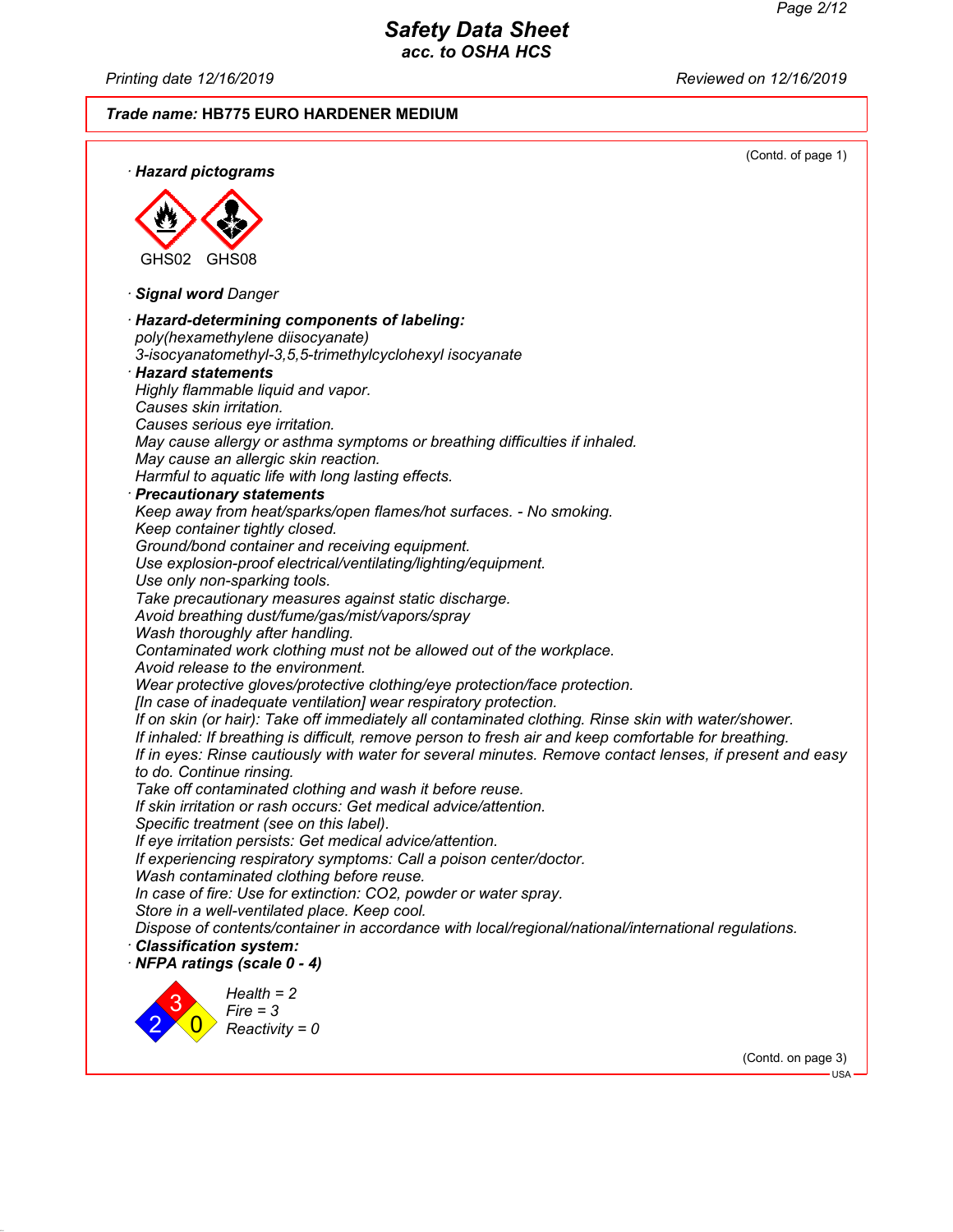USA

# *Safety Data Sheet acc. to OSHA HCS*

*Printing date 12/16/2019 Reviewed on 12/16/2019*

#### *Trade name:* **HB775 EURO HARDENER MEDIUM**

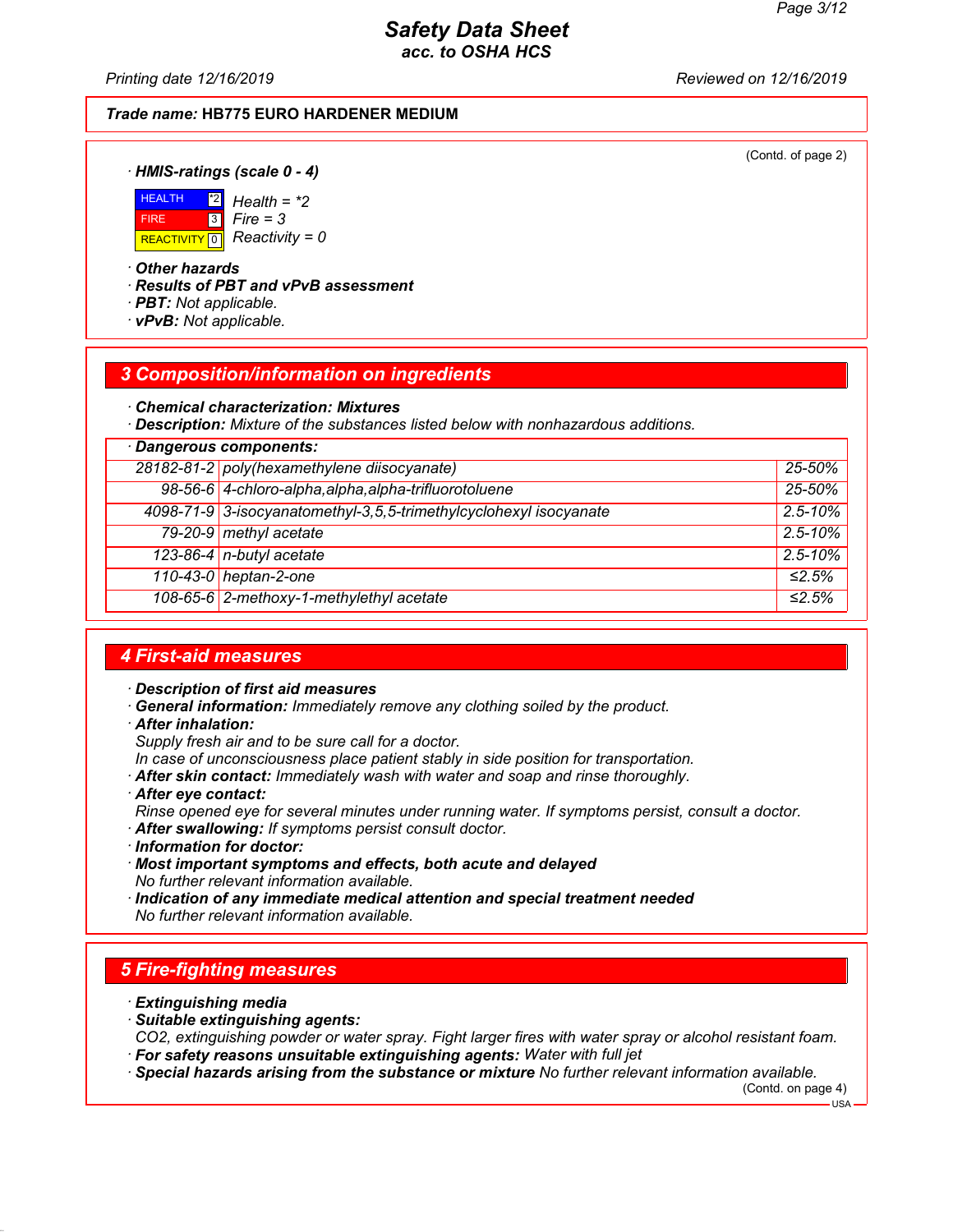*Printing date 12/16/2019 Reviewed on 12/16/2019*

#### *Trade name:* **HB775 EURO HARDENER MEDIUM**

(Contd. of page 2)

*· HMIS-ratings (scale 0 - 4)*



\*2 *Health = \*2* 3 *Fire = 3*

*· Other hazards*

*· Results of PBT and vPvB assessment*

- *· PBT: Not applicable.*
- *· vPvB: Not applicable.*

### *3 Composition/information on ingredients*

*· Chemical characterization: Mixtures*

*· Description: Mixture of the substances listed below with nonhazardous additions.*

| Dangerous components: |                                                                   |              |
|-----------------------|-------------------------------------------------------------------|--------------|
|                       | 28182-81-2 poly(hexamethylene diisocyanate)                       | 25-50%       |
|                       | 98-56-6 4-chloro-alpha, alpha, alpha-trifluorotoluene             | 25-50%       |
|                       | 4098-71-9 3-isocyanatomethyl-3,5,5-trimethylcyclohexyl isocyanate | $2.5 - 10\%$ |
|                       | 79-20-9 methyl acetate                                            | $2.5 - 10\%$ |
|                       | 123-86-4 n-butyl acetate                                          | $2.5 - 10\%$ |
|                       | 110-43-0 heptan-2-one                                             | ≤2.5%        |
|                       | 108-65-6 2-methoxy-1-methylethyl acetate                          | ≤2.5%        |

### *4 First-aid measures*

*· Description of first aid measures*

*· General information: Immediately remove any clothing soiled by the product.*

*· After inhalation:*

*Supply fresh air and to be sure call for a doctor.*

*In case of unconsciousness place patient stably in side position for transportation.*

- *· After skin contact: Immediately wash with water and soap and rinse thoroughly.*
- *· After eye contact:*
- *Rinse opened eye for several minutes under running water. If symptoms persist, consult a doctor.*
- *· After swallowing: If symptoms persist consult doctor.*
- *· Information for doctor:*
- *· Most important symptoms and effects, both acute and delayed*
- *No further relevant information available.*
- *· Indication of any immediate medical attention and special treatment needed No further relevant information available.*

### *5 Fire-fighting measures*

- *· Extinguishing media*
- *· Suitable extinguishing agents:*

*CO2, extinguishing powder or water spray. Fight larger fires with water spray or alcohol resistant foam. · For safety reasons unsuitable extinguishing agents: Water with full jet*

*· Special hazards arising from the substance or mixture No further relevant information available.*

(Contd. on page 4)

USA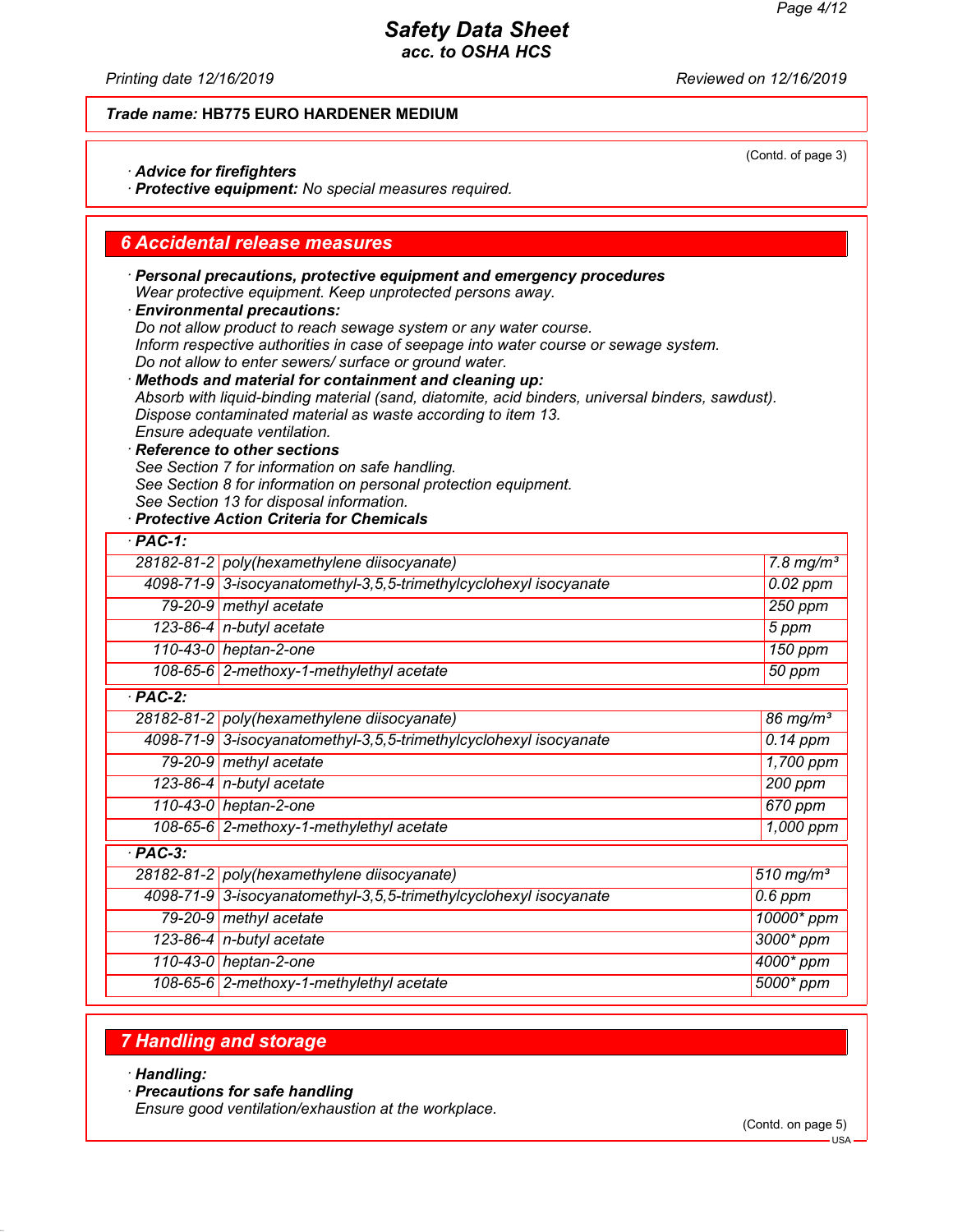(Contd. of page 3)

### *Safety Data Sheet acc. to OSHA HCS*

*Printing date 12/16/2019 Reviewed on 12/16/2019*

### *Trade name:* **HB775 EURO HARDENER MEDIUM**

*· Advice for firefighters*

*· Protective equipment: No special measures required.*

### *6 Accidental release measures*

*· Personal precautions, protective equipment and emergency procedures Wear protective equipment. Keep unprotected persons away. · Environmental precautions: Do not allow product to reach sewage system or any water course.*

*Inform respective authorities in case of seepage into water course or sewage system. Do not allow to enter sewers/ surface or ground water.*

*· Methods and material for containment and cleaning up: Absorb with liquid-binding material (sand, diatomite, acid binders, universal binders, sawdust). Dispose contaminated material as waste according to item 13. Ensure adequate ventilation.*

*· Reference to other sections See Section 7 for information on safe handling.*

*See Section 8 for information on personal protection equipment.*

*See Section 13 for disposal information.*

### *· Protective Action Criteria for Chemicals*

| $·$ PAC-1: |                                                                   |                         |
|------------|-------------------------------------------------------------------|-------------------------|
|            | 28182-81-2 poly (hexamethylene diisocyanate)                      | $7.8$ mg/m <sup>3</sup> |
|            | 4098-71-9 3-isocyanatomethyl-3,5,5-trimethylcyclohexyl isocyanate | $0.02$ ppm              |
|            | 79-20-9 methyl acetate                                            | $250$ ppm               |
|            | 123-86-4 n-butyl acetate                                          | 5 ppm                   |
|            | 110-43-0 heptan-2-one                                             | $\overline{150}$ ppm    |
|            | 108-65-6 2-methoxy-1-methylethyl acetate                          | 50 ppm                  |
| $PAC-2$ :  |                                                                   |                         |
|            | 28182-81-2 poly(hexamethylene diisocyanate)                       | 86 mg/ $m3$             |
|            | 4098-71-9 3-isocyanatomethyl-3,5,5-trimethylcyclohexyl isocyanate | $0.14$ ppm              |
|            | 79-20-9 methyl acetate                                            | 1,700 ppm               |
|            | 123-86-4 $n$ -butyl acetate                                       | 200 ppm                 |
|            | 110-43-0 heptan-2-one                                             | 670 ppm                 |
|            | 108-65-6 2-methoxy-1-methylethyl acetate                          | 1,000 ppm               |
| $·$ PAC-3: |                                                                   |                         |
|            | 28182-81-2 poly(hexamethylene diisocyanate)                       | $510$ mg/m <sup>3</sup> |
|            | 4098-71-9 3-isocyanatomethyl-3,5,5-trimethylcyclohexyl isocyanate | $0.6$ ppm               |
|            | 79-20-9 methyl acetate                                            | 10000* ppm              |
|            | 123-86-4 $n$ -butyl acetate                                       | $3000*$ ppm             |
|            | 110-43-0 heptan-2-one                                             | 4000* ppm               |
|            | 108-65-6 2-methoxy-1-methylethyl acetate                          | $5000*$ ppm             |

# *7 Handling and storage*

*· Handling:*

*· Precautions for safe handling*

*Ensure good ventilation/exhaustion at the workplace.*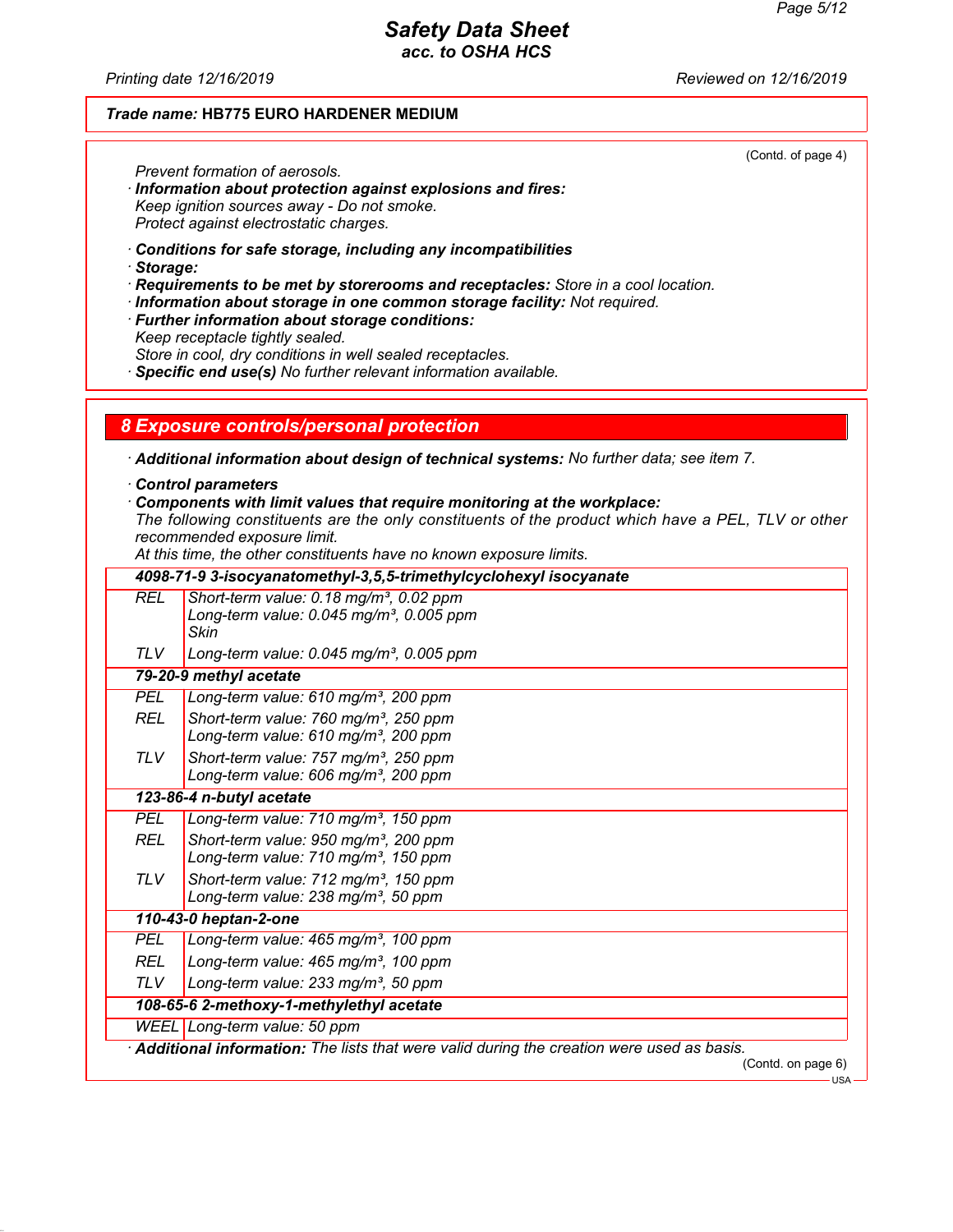(Contd. of page 4)

# *Safety Data Sheet acc. to OSHA HCS*

*Printing date 12/16/2019 Reviewed on 12/16/2019*

### *Trade name:* **HB775 EURO HARDENER MEDIUM**

*Prevent formation of aerosols.*

- *· Information about protection against explosions and fires: Keep ignition sources away - Do not smoke. Protect against electrostatic charges.*
- *· Conditions for safe storage, including any incompatibilities*

*· Storage:*

- *· Requirements to be met by storerooms and receptacles: Store in a cool location.*
- *· Information about storage in one common storage facility: Not required.*
- *· Further information about storage conditions: Keep receptacle tightly sealed. Store in cool, dry conditions in well sealed receptacles.*

*· Specific end use(s) No further relevant information available.*

#### *8 Exposure controls/personal protection*

*· Additional information about design of technical systems: No further data; see item 7.*

- *· Control parameters*
- *· Components with limit values that require monitoring at the workplace:*

*The following constituents are the only constituents of the product which have a PEL, TLV or other recommended exposure limit.*

*At this time, the other constituents have no known exposure limits.*

|            | 4098-71-9 3-isocyanatomethyl-3,5,5-trimethylcyclohexyl isocyanate                                                     |
|------------|-----------------------------------------------------------------------------------------------------------------------|
| <b>REL</b> | Short-term value: 0.18 mg/m <sup>3</sup> , 0.02 ppm<br>Long-term value: $0.045$ mg/m <sup>3</sup> , 0.005 ppm<br>Skin |
| <b>TLV</b> | Long-term value: $0.045$ mg/m <sup>3</sup> , 0.005 ppm                                                                |
|            | 79-20-9 methyl acetate                                                                                                |
| <b>PEL</b> | Long-term value: 610 mg/m <sup>3</sup> , 200 ppm                                                                      |
| <b>REL</b> | Short-term value: 760 mg/m <sup>3</sup> , 250 ppm<br>Long-term value: 610 mg/m <sup>3</sup> , 200 ppm                 |
| TLV        | Short-term value: 757 mg/m <sup>3</sup> , 250 ppm<br>Long-term value: 606 mg/m <sup>3</sup> , 200 ppm                 |
|            | 123-86-4 n-butyl acetate                                                                                              |
| <b>PEL</b> | Long-term value: 710 mg/m <sup>3</sup> , 150 ppm                                                                      |
| <b>REL</b> | Short-term value: 950 mg/m <sup>3</sup> , 200 ppm<br>Long-term value: 710 mg/m <sup>3</sup> , 150 ppm                 |
| TLV.       | Short-term value: 712 mg/m <sup>3</sup> , 150 ppm<br>Long-term value: 238 mg/m <sup>3</sup> , 50 ppm                  |
|            | 110-43-0 heptan-2-one                                                                                                 |
| <b>PEL</b> | Long-term value: 465 mg/m <sup>3</sup> , 100 ppm                                                                      |
| <b>REL</b> | Long-term value: 465 mg/m <sup>3</sup> , 100 ppm                                                                      |
| <b>TLV</b> | Long-term value: 233 mg/m <sup>3</sup> , 50 ppm                                                                       |
|            | 108-65-6 2-methoxy-1-methylethyl acetate                                                                              |
|            | WEEL Long-term value: 50 ppm                                                                                          |
|            | Additional information: The lists that were valid during the creation were used as basis.                             |
|            | (Contd. on page 6)                                                                                                    |

USA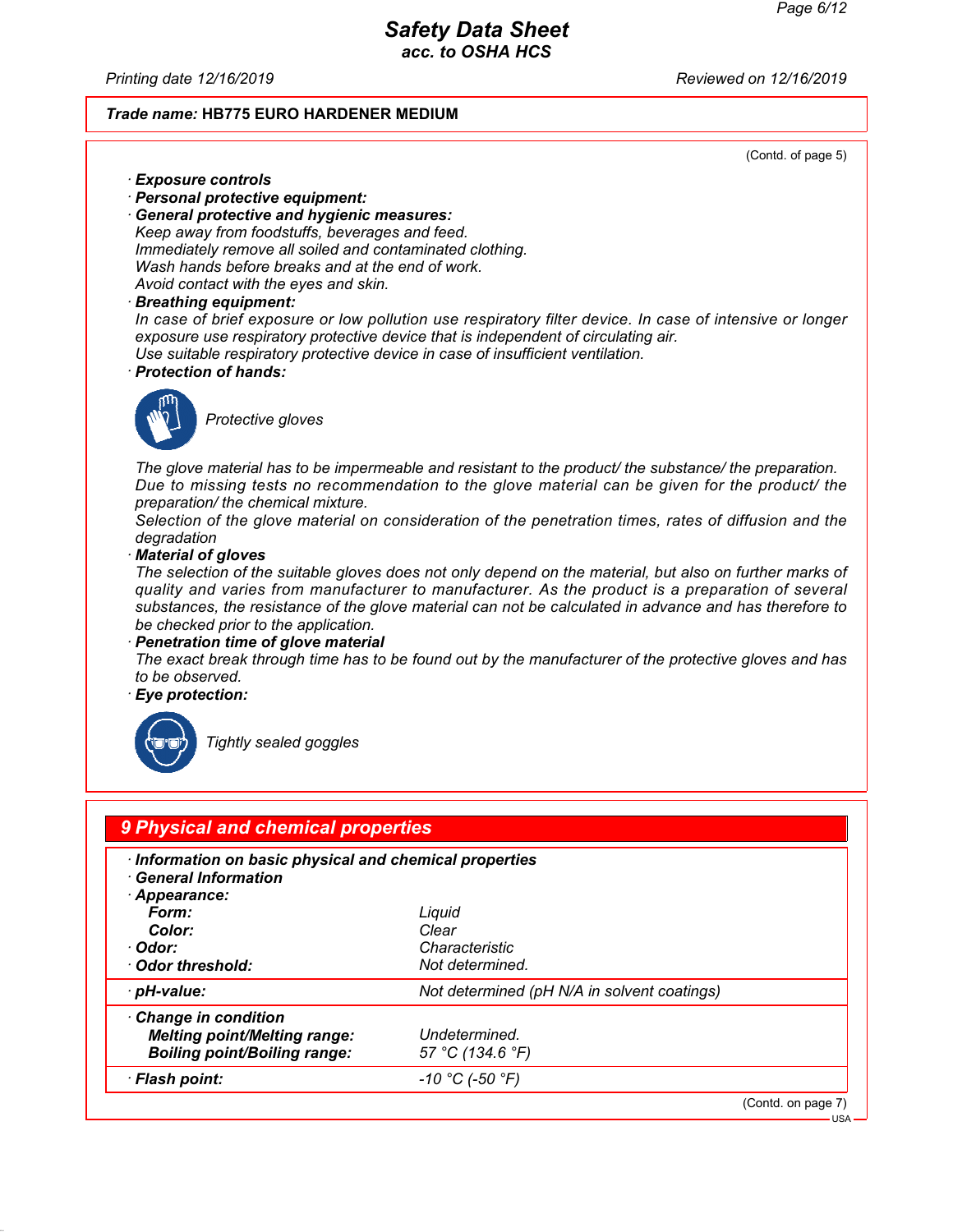*Printing date 12/16/2019 Reviewed on 12/16/2019*

#### *Trade name:* **HB775 EURO HARDENER MEDIUM**

(Contd. of page 5)

- *· Exposure controls*
- *· Personal protective equipment:*
- *· General protective and hygienic measures: Keep away from foodstuffs, beverages and feed. Immediately remove all soiled and contaminated clothing. Wash hands before breaks and at the end of work. Avoid contact with the eyes and skin.*
- *· Breathing equipment:*

*In case of brief exposure or low pollution use respiratory filter device. In case of intensive or longer exposure use respiratory protective device that is independent of circulating air. Use suitable respiratory protective device in case of insufficient ventilation.*

*· Protection of hands:*



*Protective gloves*

*The glove material has to be impermeable and resistant to the product/ the substance/ the preparation. Due to missing tests no recommendation to the glove material can be given for the product/ the preparation/ the chemical mixture.*

*Selection of the glove material on consideration of the penetration times, rates of diffusion and the degradation*

*· Material of gloves*

*The selection of the suitable gloves does not only depend on the material, but also on further marks of quality and varies from manufacturer to manufacturer. As the product is a preparation of several substances, the resistance of the glove material can not be calculated in advance and has therefore to be checked prior to the application.*

*· Penetration time of glove material*

*The exact break through time has to be found out by the manufacturer of the protective gloves and has to be observed.*

*· Eye protection:*



*Tightly sealed goggles*

| 9 Physical and chemical properties                    |                                             |                    |
|-------------------------------------------------------|---------------------------------------------|--------------------|
| Information on basic physical and chemical properties |                                             |                    |
| <b>General Information</b>                            |                                             |                    |
| Appearance:                                           |                                             |                    |
| Form:                                                 | Liquid                                      |                    |
| Color:                                                | Clear                                       |                    |
| ∙ Odor:                                               | Characteristic                              |                    |
| Odor threshold:                                       | Not determined.                             |                    |
| · pH-value:                                           | Not determined (pH N/A in solvent coatings) |                    |
| Change in condition                                   |                                             |                    |
| <b>Melting point/Melting range:</b>                   | Undetermined.                               |                    |
| <b>Boiling point/Boiling range:</b>                   | 57 °C (134.6 °F)                            |                    |
| · Flash point:                                        | -10 °C (-50 °F)                             |                    |
|                                                       |                                             | (Contd. on page 7) |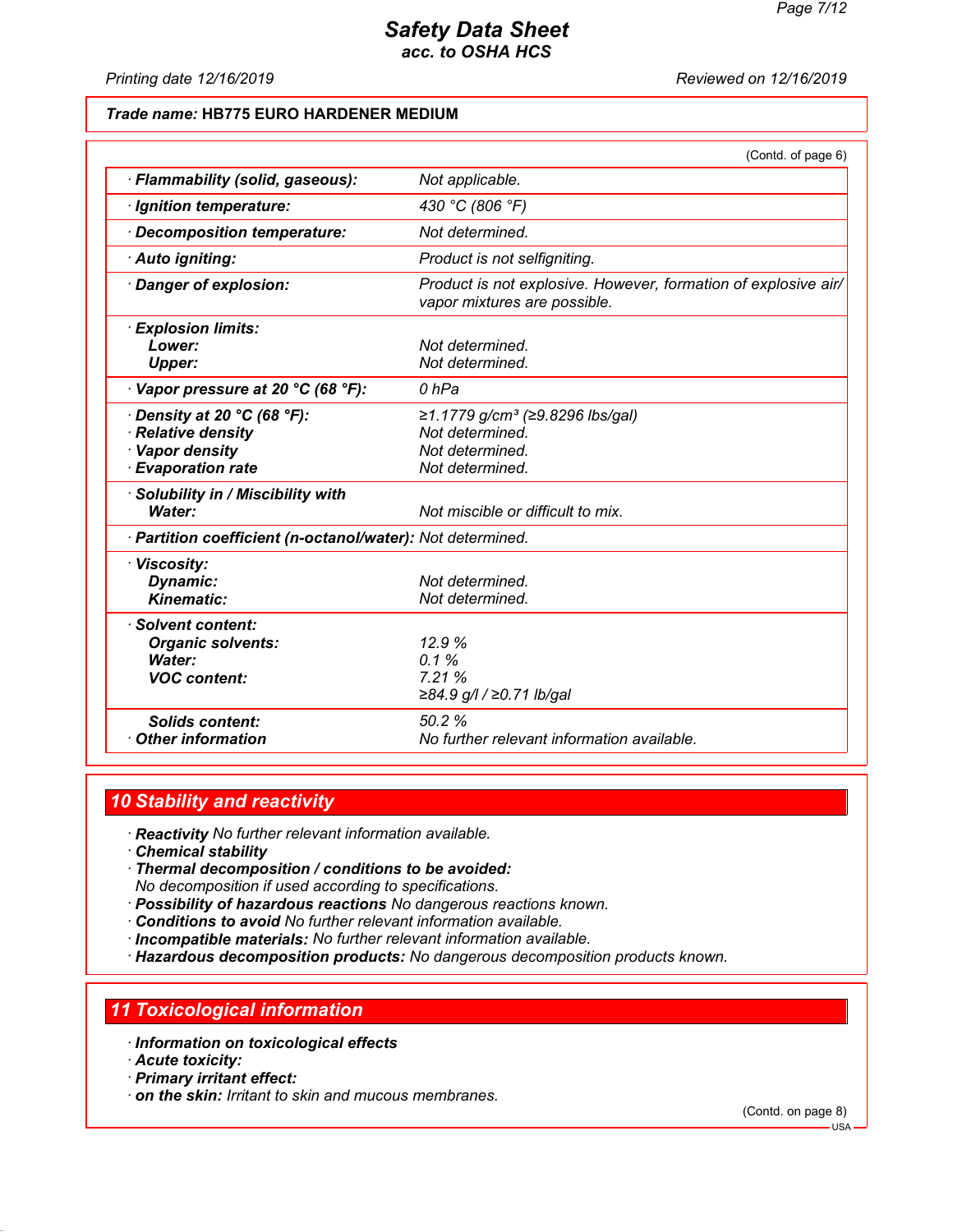*Printing date 12/16/2019 Reviewed on 12/16/2019*

#### *Trade name:* **HB775 EURO HARDENER MEDIUM**

|                                                                                                                 | (Contd. of page 6)                                                                                   |
|-----------------------------------------------------------------------------------------------------------------|------------------------------------------------------------------------------------------------------|
| · Flammability (solid, gaseous):                                                                                | Not applicable.                                                                                      |
| · Ignition temperature:                                                                                         | 430 °C (806 °F)                                                                                      |
| Decomposition temperature:                                                                                      | Not determined.                                                                                      |
| · Auto igniting:                                                                                                | Product is not selfigniting.                                                                         |
| Danger of explosion:                                                                                            | Product is not explosive. However, formation of explosive air/<br>vapor mixtures are possible.       |
| · Explosion limits:<br>Lower:                                                                                   | Not determined.                                                                                      |
| <b>Upper:</b>                                                                                                   | Not determined.                                                                                      |
| $\cdot$ Vapor pressure at 20 °C (68 °F):                                                                        | 0 hPa                                                                                                |
| Density at 20 $^{\circ}$ C (68 $^{\circ}$ F):<br>Relative density<br>· Vapor density<br><b>Evaporation rate</b> | ≥1.1779 g/cm <sup>3</sup> (≥9.8296 lbs/gal)<br>Not determined.<br>Not determined.<br>Not determined. |
| Solubility in / Miscibility with<br>Water:                                                                      | Not miscible or difficult to mix.                                                                    |
| · Partition coefficient (n-octanol/water): Not determined.                                                      |                                                                                                      |
| · Viscosity:<br><b>Dynamic:</b><br><b>Kinematic:</b>                                                            | Not determined.<br>Not determined.                                                                   |
| · Solvent content:<br><b>Organic solvents:</b><br>Water:<br><b>VOC content:</b>                                 | 12.9%<br>0.1%<br>7.21%<br>≥84.9 g/l / ≥0.71 lb/gal                                                   |
| <b>Solids content:</b><br><b>Other information</b>                                                              | 50.2%<br>No further relevant information available.                                                  |

### *10 Stability and reactivity*

*· Reactivity No further relevant information available.*

- *· Chemical stability*
- *· Thermal decomposition / conditions to be avoided: No decomposition if used according to specifications.*
- *· Possibility of hazardous reactions No dangerous reactions known.*
- *· Conditions to avoid No further relevant information available.*
- *· Incompatible materials: No further relevant information available.*
- *· Hazardous decomposition products: No dangerous decomposition products known.*

#### *11 Toxicological information*

- *· Information on toxicological effects*
- *· Acute toxicity:*
- *· Primary irritant effect:*
- *· on the skin: Irritant to skin and mucous membranes.*

(Contd. on page 8)

USA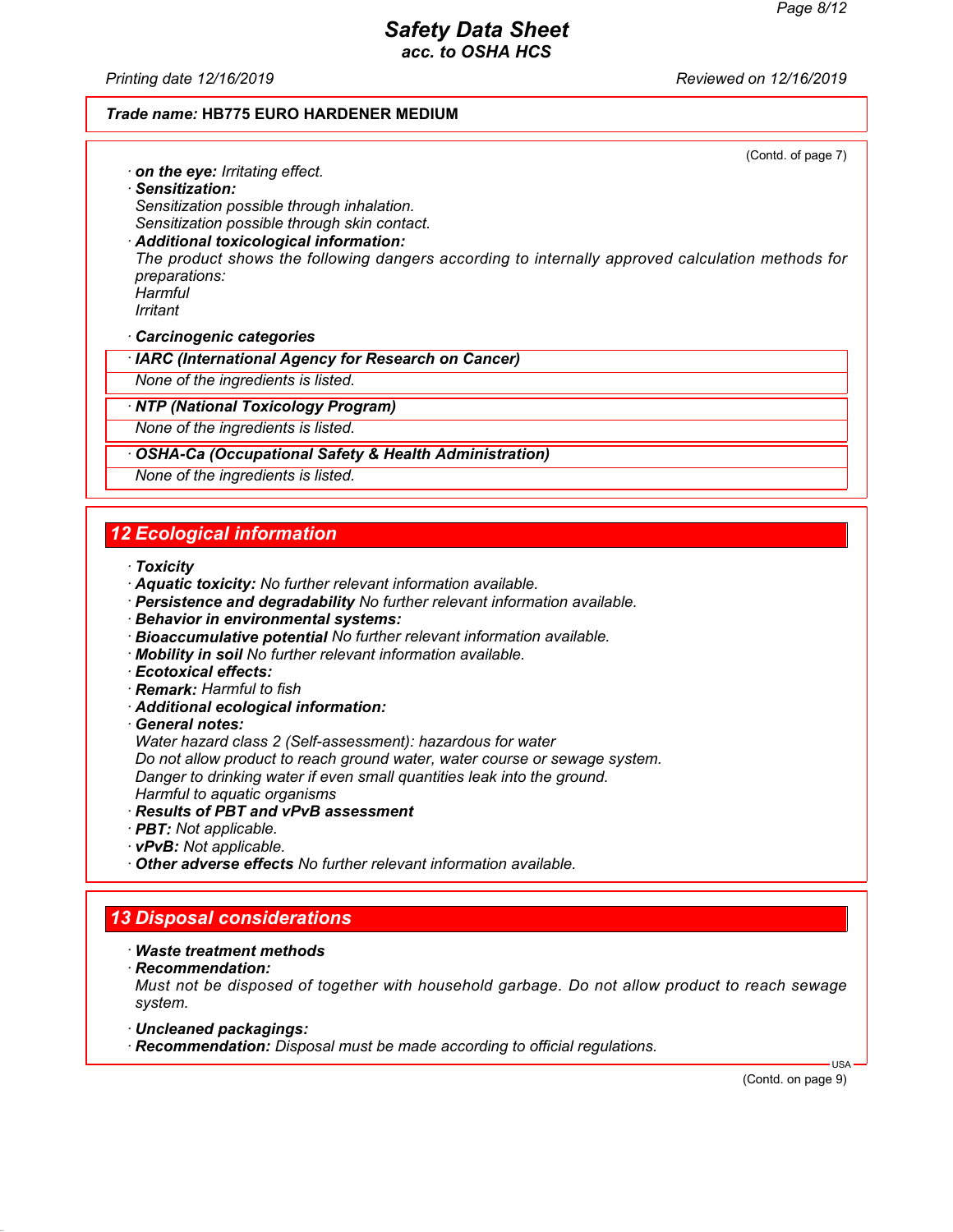*Printing date 12/16/2019 Reviewed on 12/16/2019*

#### *Trade name:* **HB775 EURO HARDENER MEDIUM**

(Contd. of page 7)

*· on the eye: Irritating effect. · Sensitization: Sensitization possible through inhalation. Sensitization possible through skin contact. · Additional toxicological information:*

*The product shows the following dangers according to internally approved calculation methods for preparations: Harmful*

*Irritant*

*· Carcinogenic categories*

*· IARC (International Agency for Research on Cancer)*

*None of the ingredients is listed.*

*· NTP (National Toxicology Program)*

*None of the ingredients is listed.*

#### *· OSHA-Ca (Occupational Safety & Health Administration)*

*None of the ingredients is listed.*

# *12 Ecological information*

- *· Toxicity*
- *· Aquatic toxicity: No further relevant information available.*
- *· Persistence and degradability No further relevant information available.*
- *· Behavior in environmental systems:*
- *· Bioaccumulative potential No further relevant information available.*
- *· Mobility in soil No further relevant information available.*
- *· Ecotoxical effects:*
- *· Remark: Harmful to fish*
- *· Additional ecological information:*
- *· General notes:*

*Water hazard class 2 (Self-assessment): hazardous for water*

*Do not allow product to reach ground water, water course or sewage system.*

*Danger to drinking water if even small quantities leak into the ground.*

- *Harmful to aquatic organisms*
- *· Results of PBT and vPvB assessment*
- *· PBT: Not applicable.*
- *· vPvB: Not applicable.*

*· Other adverse effects No further relevant information available.*

# *13 Disposal considerations*

- *· Waste treatment methods*
- *· Recommendation:*

*Must not be disposed of together with household garbage. Do not allow product to reach sewage system.*

- *· Uncleaned packagings:*
- *· Recommendation: Disposal must be made according to official regulations.*

(Contd. on page 9)

USA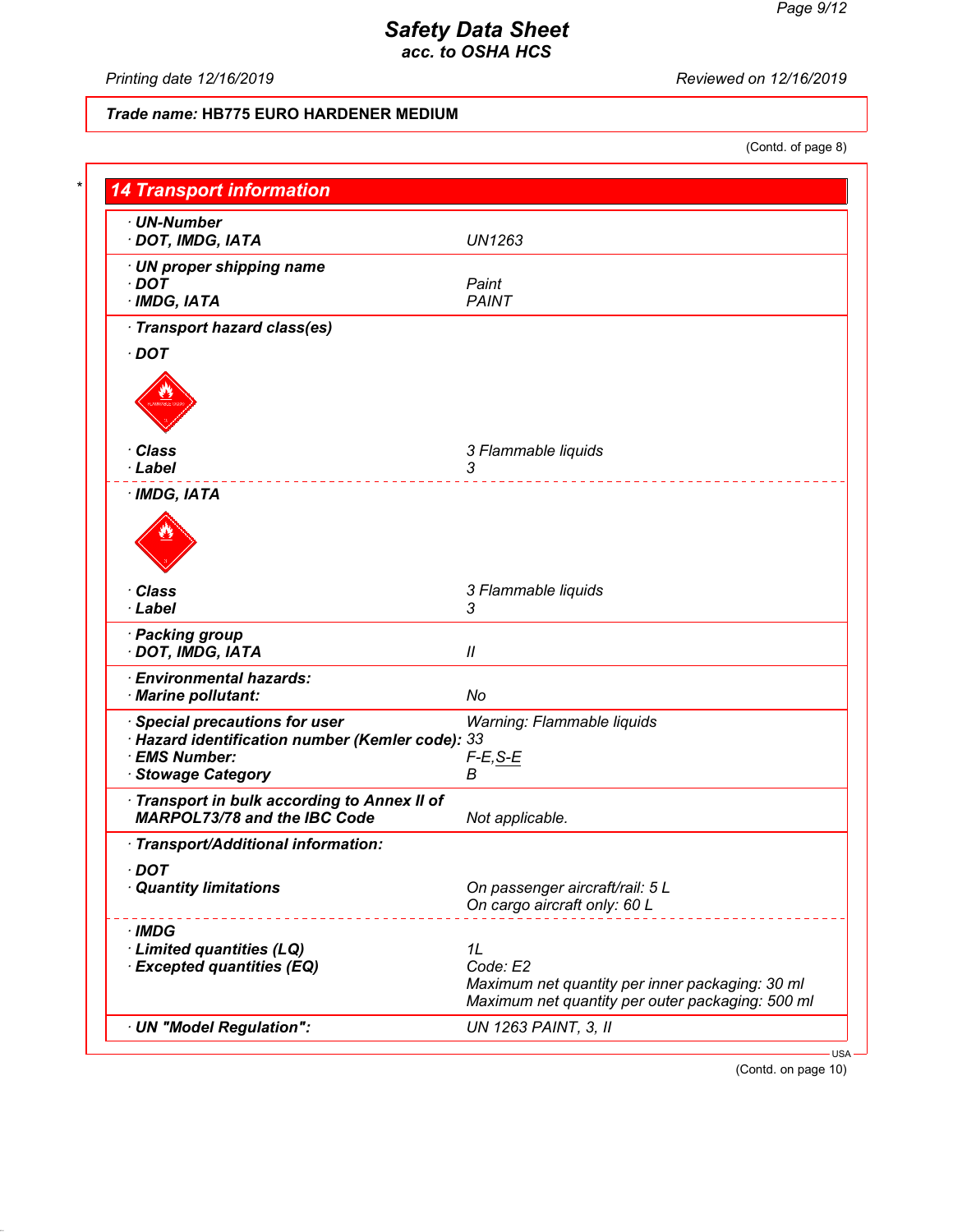*Printing date 12/16/2019 Reviewed on 12/16/2019*

### *Trade name:* **HB775 EURO HARDENER MEDIUM**

(Contd. of page 8)

| $\cdot$ UN-Number                                |                                                  |
|--------------------------------------------------|--------------------------------------------------|
| · DOT, IMDG, IATA                                | <b>UN1263</b>                                    |
| · UN proper shipping name                        |                                                  |
| $\cdot$ DOT                                      | Paint                                            |
| $·$ IMDG, IATA                                   | <b>PAINT</b>                                     |
| · Transport hazard class(es)                     |                                                  |
| $\cdot$ DOT                                      |                                                  |
|                                                  |                                                  |
|                                                  |                                                  |
| · Class                                          | 3 Flammable liquids                              |
| · Label                                          | 3                                                |
| $·$ IMDG, IATA                                   |                                                  |
|                                                  |                                                  |
| · Class                                          | 3 Flammable liquids                              |
| · Label                                          | 3                                                |
| · Packing group                                  |                                                  |
| · DOT, IMDG, IATA                                | $\mathcal{U}$                                    |
| <b>Environmental hazards:</b>                    |                                                  |
| · Marine pollutant:                              | No                                               |
| · Special precautions for user                   | Warning: Flammable liquids                       |
| · Hazard identification number (Kemler code): 33 |                                                  |
| · EMS Number:                                    | $F-E, S-E$                                       |
| · Stowage Category                               | В                                                |
| Transport in bulk according to Annex II of       |                                                  |
| <b>MARPOL73/78 and the IBC Code</b>              | Not applicable.                                  |
| · Transport/Additional information:              |                                                  |
| · DOT                                            |                                                  |
| · Quantity limitations                           | On passenger aircraft/rail: 5 L                  |
|                                                  | On cargo aircraft only: 60 L                     |
| · IMDG                                           |                                                  |
| · Limited quantities (LQ)                        | 1L                                               |
| <b>Excepted quantities (EQ)</b>                  | Code: E2                                         |
|                                                  | Maximum net quantity per inner packaging: 30 ml  |
|                                                  | Maximum net quantity per outer packaging: 500 ml |

(Contd. on page 10)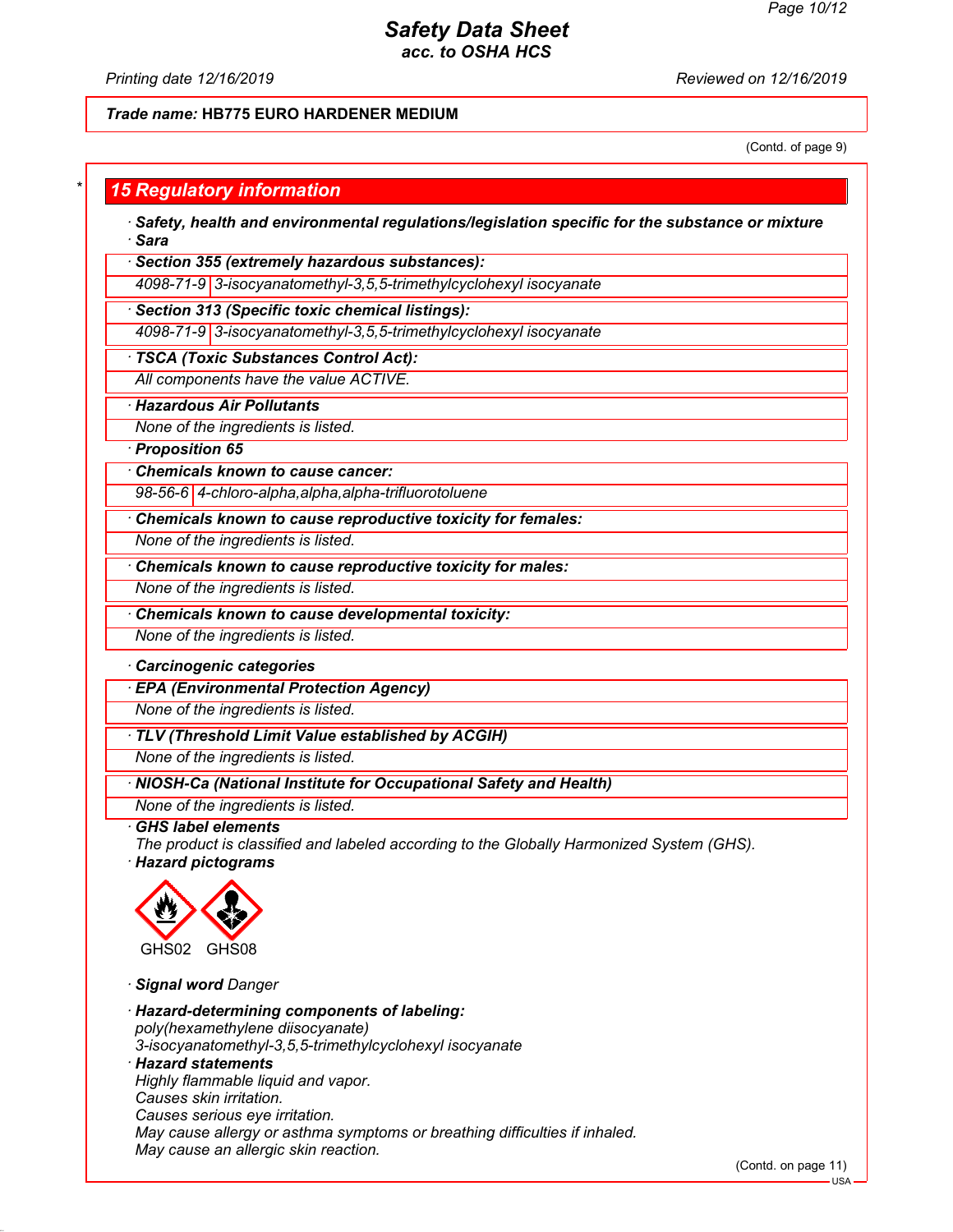*Printing date 12/16/2019 Reviewed on 12/16/2019*

#### *Trade name:* **HB775 EURO HARDENER MEDIUM**

(Contd. of page 9)

### *\* 15 Regulatory information*

*· Safety, health and environmental regulations/legislation specific for the substance or mixture · Sara*

*· Section 355 (extremely hazardous substances):*

*4098-71-9 3-isocyanatomethyl-3,5,5-trimethylcyclohexyl isocyanate*

*· Section 313 (Specific toxic chemical listings):*

*4098-71-9 3-isocyanatomethyl-3,5,5-trimethylcyclohexyl isocyanate*

#### *· TSCA (Toxic Substances Control Act):*

*All components have the value ACTIVE.*

*· Hazardous Air Pollutants*

*None of the ingredients is listed.*

*· Proposition 65*

*· Chemicals known to cause cancer:*

*98-56-6 4-chloro-alpha,alpha,alpha-trifluorotoluene*

*· Chemicals known to cause reproductive toxicity for females:*

*None of the ingredients is listed.*

*· Chemicals known to cause reproductive toxicity for males:*

*None of the ingredients is listed.*

*· Chemicals known to cause developmental toxicity:*

*None of the ingredients is listed.*

#### *· Carcinogenic categories*

*· EPA (Environmental Protection Agency)*

*None of the ingredients is listed.*

*· TLV (Threshold Limit Value established by ACGIH)*

*None of the ingredients is listed.*

#### *· NIOSH-Ca (National Institute for Occupational Safety and Health)*

*None of the ingredients is listed.*

*· GHS label elements*

*The product is classified and labeled according to the Globally Harmonized System (GHS). · Hazard pictograms*



*· Signal word Danger*

*· Hazard-determining components of labeling: poly(hexamethylene diisocyanate) 3-isocyanatomethyl-3,5,5-trimethylcyclohexyl isocyanate · Hazard statements Highly flammable liquid and vapor. Causes skin irritation. Causes serious eye irritation. May cause allergy or asthma symptoms or breathing difficulties if inhaled. May cause an allergic skin reaction.*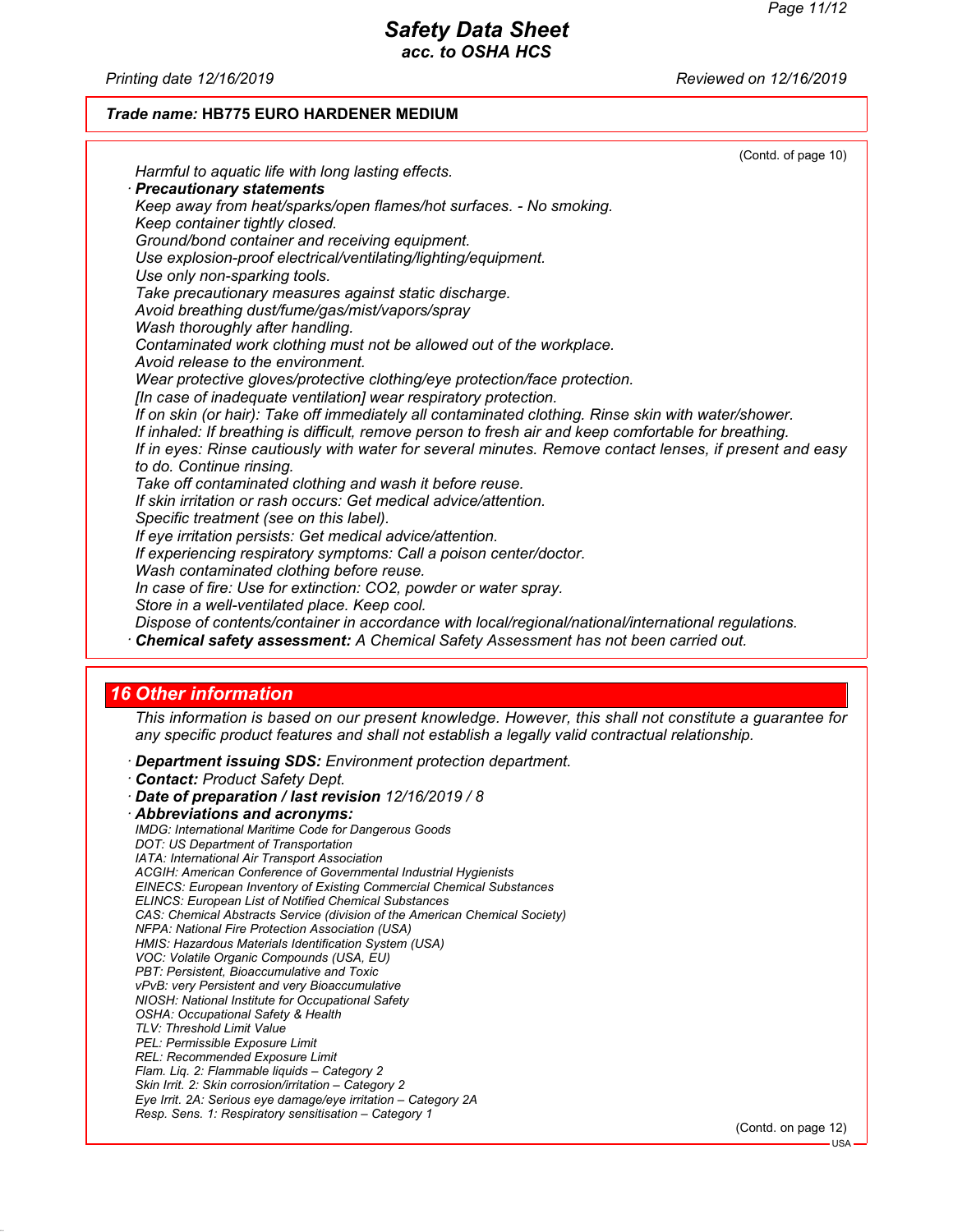*Printing date 12/16/2019 Reviewed on 12/16/2019*

#### *Trade name:* **HB775 EURO HARDENER MEDIUM**

|                                                                                                         | (Contd. of page 10) |
|---------------------------------------------------------------------------------------------------------|---------------------|
| Harmful to aquatic life with long lasting effects.                                                      |                     |
| · Precautionary statements                                                                              |                     |
| Keep away from heat/sparks/open flames/hot surfaces. - No smoking.                                      |                     |
| Keep container tightly closed.                                                                          |                     |
| Ground/bond container and receiving equipment.                                                          |                     |
| Use explosion-proof electrical/ventilating/lighting/equipment.                                          |                     |
| Use only non-sparking tools.                                                                            |                     |
| Take precautionary measures against static discharge.                                                   |                     |
| Avoid breathing dust/fume/gas/mist/vapors/spray                                                         |                     |
| Wash thoroughly after handling.                                                                         |                     |
| Contaminated work clothing must not be allowed out of the workplace.                                    |                     |
| Avoid release to the environment.                                                                       |                     |
| Wear protective gloves/protective clothing/eye protection/face protection.                              |                     |
| [In case of inadequate ventilation] wear respiratory protection.                                        |                     |
| If on skin (or hair): Take off immediately all contaminated clothing. Rinse skin with water/shower.     |                     |
| If inhaled: If breathing is difficult, remove person to fresh air and keep comfortable for breathing.   |                     |
| If in eyes: Rinse cautiously with water for several minutes. Remove contact lenses, if present and easy |                     |
| to do. Continue rinsing.                                                                                |                     |
| Take off contaminated clothing and wash it before reuse.                                                |                     |
| If skin irritation or rash occurs: Get medical advice/attention.                                        |                     |
| Specific treatment (see on this label).                                                                 |                     |
| If eye irritation persists: Get medical advice/attention.                                               |                     |
| If experiencing respiratory symptoms: Call a poison center/doctor.                                      |                     |
| Wash contaminated clothing before reuse.                                                                |                     |
| In case of fire: Use for extinction: CO2, powder or water spray.                                        |                     |
| Store in a well-ventilated place. Keep cool.                                                            |                     |
| Dispose of contents/container in accordance with local/regional/national/international regulations.     |                     |
| · Chemical safety assessment: A Chemical Safety Assessment has not been carried out.                    |                     |

#### *16 Other information*

*This information is based on our present knowledge. However, this shall not constitute a guarantee for any specific product features and shall not establish a legally valid contractual relationship.*

*· Department issuing SDS: Environment protection department.*

(Contd. on page 12)

*<sup>·</sup> Contact: Product Safety Dept.*

*<sup>·</sup> Date of preparation / last revision 12/16/2019 / 8 · Abbreviations and acronyms: IMDG: International Maritime Code for Dangerous Goods DOT: US Department of Transportation IATA: International Air Transport Association ACGIH: American Conference of Governmental Industrial Hygienists EINECS: European Inventory of Existing Commercial Chemical Substances ELINCS: European List of Notified Chemical Substances CAS: Chemical Abstracts Service (division of the American Chemical Society) NFPA: National Fire Protection Association (USA) HMIS: Hazardous Materials Identification System (USA) VOC: Volatile Organic Compounds (USA, EU) PBT: Persistent, Bioaccumulative and Toxic vPvB: very Persistent and very Bioaccumulative NIOSH: National Institute for Occupational Safety OSHA: Occupational Safety & Health TLV: Threshold Limit Value PEL: Permissible Exposure Limit REL: Recommended Exposure Limit Flam. Liq. 2: Flammable liquids – Category 2 Skin Irrit. 2: Skin corrosion/irritation – Category 2 Eye Irrit. 2A: Serious eye damage/eye irritation – Category 2A Resp. Sens. 1: Respiratory sensitisation – Category 1*

USA